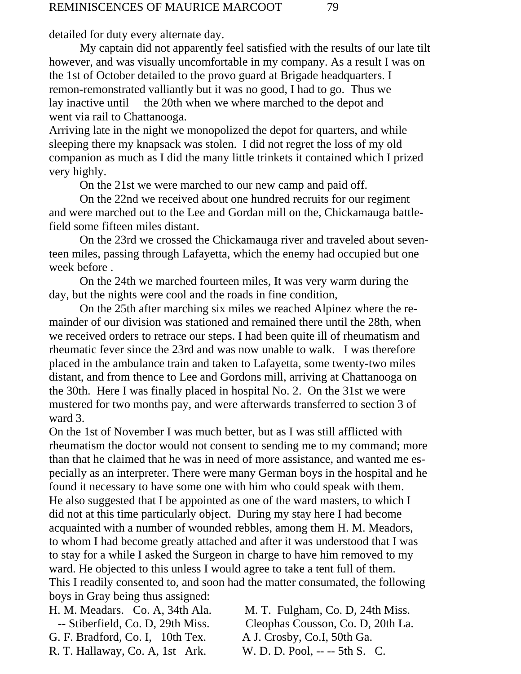detailed for duty every alternate day.

My captain did not apparently feel satisfied with the results of our late tilt however, and was visually uncomfortable in my company. As a result I was on the 1st of October detailed to the provo guard at Brigade headquarters. I remon-remonstrated valliantly but it was no good, I had to go. Thus we lay inactive until the 20th when we where marched to the depot and went via rail to Chattanooga.

Arriving late in the night we monopolized the depot for quarters, and while sleeping there my knapsack was stolen. I did not regret the loss of my old companion as much as I did the many little trinkets it contained which I prized very highly.

On the 21st we were marched to our new camp and paid off.

On the 22nd we received about one hundred recruits for our regiment and were marched out to the Lee and Gordan mill on the, Chickamauga battlefield some fifteen miles distant.

On the 23rd we crossed the Chickamauga river and traveled about seventeen miles, passing through Lafayetta, which the enemy had occupied but one week before .

On the 24th we marched fourteen miles, It was very warm during the day, but the nights were cool and the roads in fine condition,

On the 25th after marching six miles we reached Alpinez where the remainder of our division was stationed and remained there until the 28th, when we received orders to retrace our steps. I had been quite ill of rheumatism and rheumatic fever since the 23rd and was now unable to walk. I was therefore placed in the ambulance train and taken to Lafayetta, some twenty-two miles distant, and from thence to Lee and Gordons mill, arriving at Chattanooga on the 30th. Here I was finally placed in hospital No. 2. On the 31st we were mustered for two months pay, and were afterwards transferred to section 3 of ward 3.

On the 1st of November I was much better, but as I was still afflicted with rheumatism the doctor would not consent to sending me to my command; more than that he claimed that he was in need of more assistance, and wanted me especially as an interpreter. There were many German boys in the hospital and he found it necessary to have some one with him who could speak with them. He also suggested that I be appointed as one of the ward masters, to which I did not at this time particularly object. During my stay here I had become acquainted with a number of wounded rebbles, among them H. M. Meadors, to whom I had become greatly attached and after it was understood that I was to stay for a while I asked the Surgeon in charge to have him removed to my ward. He objected to this unless I would agree to take a tent full of them. This I readily consented to, and soon had the matter consumated, the following boys in Gray being thus assigned:

H. M. Meadars. Co. A, 34th Ala. M. T. Fulgham, Co. D, 24th Miss. -- Stiberfield, Co. D, 29th Miss. Cleophas Cousson, Co. D, 20th La. G. F. Bradford, Co. I, 10th Tex. A J. Crosby, Co.I, 50th Ga. R. T. Hallaway, Co. A, 1st Ark. W. D. D. Pool, -- -- 5th S. C.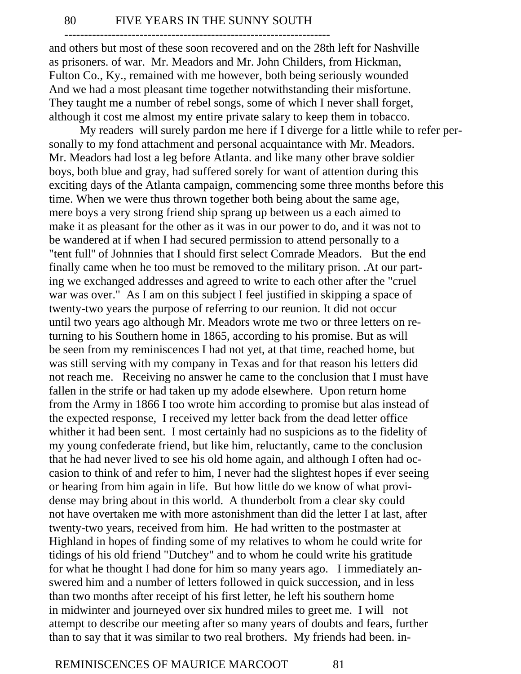-------------------------------------------------------------------

and others but most of these soon recovered and on the 28th left for Nashville as prisoners. of war. Mr. Meadors and Mr. John Childers, from Hickman, Fulton Co., Ky., remained with me however, both being seriously wounded And we had a most pleasant time together notwithstanding their misfortune. They taught me a number of rebel songs, some of which I never shall forget, although it cost me almost my entire private salary to keep them in tobacco.

My readers will surely pardon me here if I diverge for a little while to refer personally to my fond attachment and personal acquaintance with Mr. Meadors. Mr. Meadors had lost a leg before Atlanta. and like many other brave soldier boys, both blue and gray, had suffered sorely for want of attention during this exciting days of the Atlanta campaign, commencing some three months before this time. When we were thus thrown together both being about the same age, mere boys a very strong friend ship sprang up between us a each aimed to make it as pleasant for the other as it was in our power to do, and it was not to be wandered at if when I had secured permission to attend personally to a "tent full'' of Johnnies that I should first select Comrade Meadors. But the end finally came when he too must be removed to the military prison. .At our parting we exchanged addresses and agreed to write to each other after the "cruel war was over." As I am on this subject I feel justified in skipping a space of twenty-two years the purpose of referring to our reunion. It did not occur until two years ago although Mr. Meadors wrote me two or three letters on returning to his Southern home in 1865, according to his promise. But as will be seen from my reminiscences I had not yet, at that time, reached home, but was still serving with my company in Texas and for that reason his letters did not reach me. Receiving no answer he came to the conclusion that I must have fallen in the strife or had taken up my adode elsewhere. Upon return home from the Army in 1866 I too wrote him according to promise but alas instead of the expected response, I received my letter back from the dead letter office whither it had been sent. I most certainly had no suspicions as to the fidelity of my young confederate friend, but like him, reluctantly, came to the conclusion that he had never lived to see his old home again, and although I often had occasion to think of and refer to him, I never had the slightest hopes if ever seeing or hearing from him again in life. But how little do we know of what providense may bring about in this world. A thunderbolt from a clear sky could not have overtaken me with more astonishment than did the letter I at last, after twenty-two years, received from him. He had written to the postmaster at Highland in hopes of finding some of my relatives to whom he could write for tidings of his old friend "Dutchey" and to whom he could write his gratitude for what he thought I had done for him so many years ago. I immediately answered him and a number of letters followed in quick succession, and in less than two months after receipt of his first letter, he left his southern home in midwinter and journeyed over six hundred miles to greet me. I will not attempt to describe our meeting after so many years of doubts and fears, further than to say that it was similar to two real brothers. My friends had been. in-

## REMINISCENCES OF MAURICE MARCOOT 81